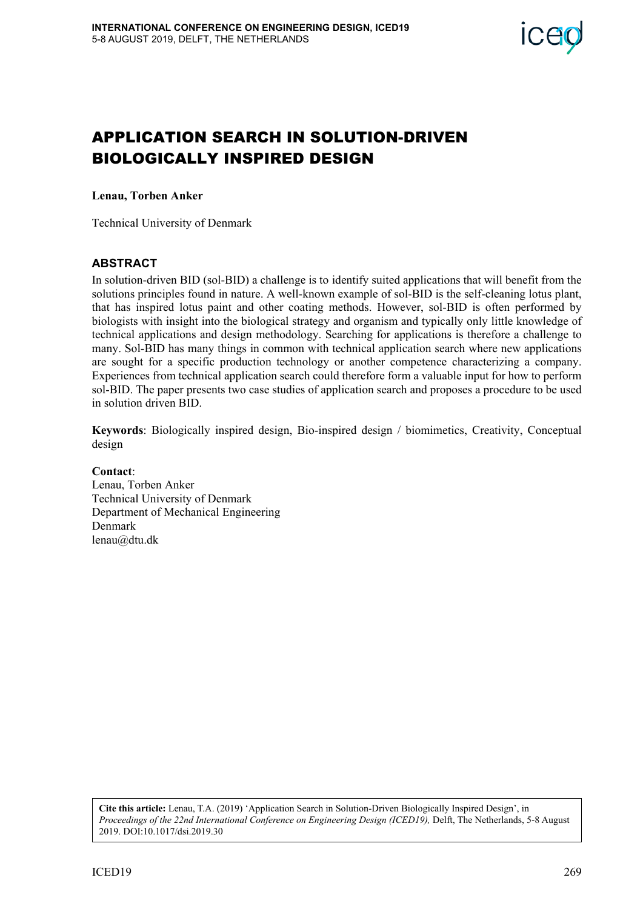

# APPLICATION SEARCH IN SOLUTION-DRIVEN BIOLOGICALLY INSPIRED DESIGN

**Lenau, Torben Anker** 

Technical University of Denmark

### **ABSTRACT**

In solution-driven BID (sol-BID) a challenge is to identify suited applications that will benefit from the solutions principles found in nature. A well-known example of sol-BID is the self-cleaning lotus plant, that has inspired lotus paint and other coating methods. However, sol-BID is often performed by biologists with insight into the biological strategy and organism and typically only little knowledge of technical applications and design methodology. Searching for applications is therefore a challenge to many. Sol-BID has many things in common with technical application search where new applications are sought for a specific production technology or another competence characterizing a company. Experiences from technical application search could therefore form a valuable input for how to perform sol-BID. The paper presents two case studies of application search and proposes a procedure to be used in solution driven BID.

**Keywords**: Biologically inspired design, Bio-inspired design / biomimetics, Creativity, Conceptual design

**Contact**: Lenau, Torben Anker Technical University of Denmark Department of Mechanical Engineering Denmark lenau@dtu.dk

**Cite this article:** Lenau, T.A. (2019) 'Application Search in Solution-Driven Biologically Inspired Design', in *Proceedings of the 22nd International Conference on Engineering Design (ICED19),* Delft, The Netherlands, 5-8 August 2019. DOI:10.1017/dsi.2019.30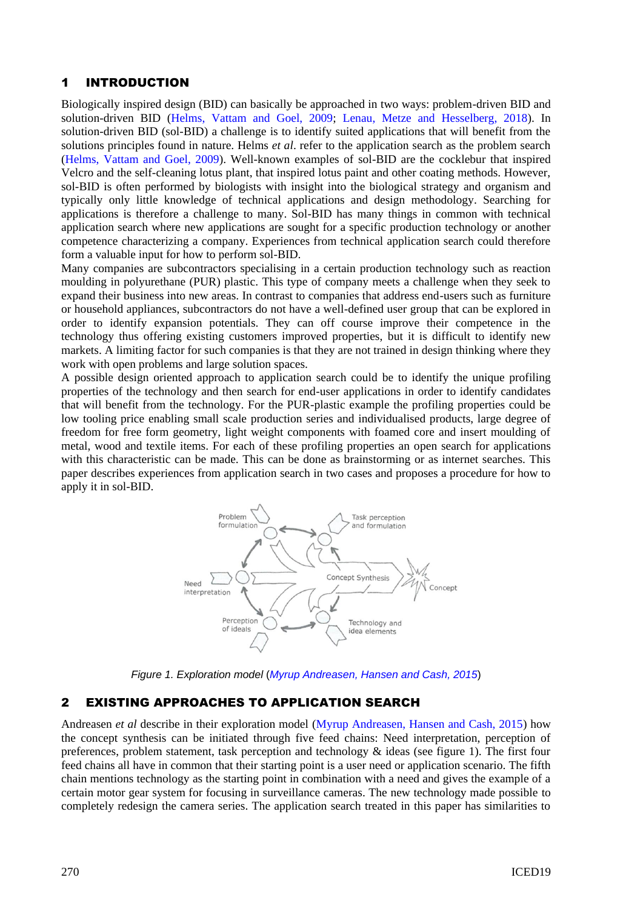### 1 INTRODUCTION

Biologically inspired design (BID) can basically be approached in two ways: problem-driven BID and solution-driven BID [\(Helms, Vattam and Goel, 2009;](#page-9-0) [Lenau, Metze and Hesselberg, 2018\)](#page-9-1). In solution-driven BID (sol-BID) a challenge is to identify suited applications that will benefit from the solutions principles found in nature. Helms *et al*. refer to the application search as the problem search [\(Helms, Vattam and Goel, 2009\)](#page-9-0). Well-known examples of sol-BID are the cocklebur that inspired Velcro and the self-cleaning lotus plant, that inspired lotus paint and other coating methods. However, sol-BID is often performed by biologists with insight into the biological strategy and organism and typically only little knowledge of technical applications and design methodology. Searching for applications is therefore a challenge to many. Sol-BID has many things in common with technical application search where new applications are sought for a specific production technology or another competence characterizing a company. Experiences from technical application search could therefore form a valuable input for how to perform sol-BID.

Many companies are subcontractors specialising in a certain production technology such as reaction moulding in polyurethane (PUR) plastic. This type of company meets a challenge when they seek to expand their business into new areas. In contrast to companies that address end-users such as furniture or household appliances, subcontractors do not have a well-defined user group that can be explored in order to identify expansion potentials. They can off course improve their competence in the technology thus offering existing customers improved properties, but it is difficult to identify new markets. A limiting factor for such companies is that they are not trained in design thinking where they work with open problems and large solution spaces.

A possible design oriented approach to application search could be to identify the unique profiling properties of the technology and then search for end-user applications in order to identify candidates that will benefit from the technology. For the PUR-plastic example the profiling properties could be low tooling price enabling small scale production series and individualised products, large degree of freedom for free form geometry, light weight components with foamed core and insert moulding of metal, wood and textile items. For each of these profiling properties an open search for applications with this characteristic can be made. This can be done as brainstorming or as internet searches. This paper describes experiences from application search in two cases and proposes a procedure for how to apply it in sol-BID.



*Figure 1. Exploration model* (*[Myrup Andreasen, Hansen and Cash, 2015](#page-9-2)*)

### 2 EXISTING APPROACHES TO APPLICATION SEARCH

Andreasen *et al* describe in their exploration model [\(Myrup Andreasen, Hansen and Cash, 2015\)](#page-9-2) how the concept synthesis can be initiated through five feed chains: Need interpretation, perception of preferences, problem statement, task perception and technology  $\&$  ideas (see figure 1). The first four feed chains all have in common that their starting point is a user need or application scenario. The fifth chain mentions technology as the starting point in combination with a need and gives the example of a certain motor gear system for focusing in surveillance cameras. The new technology made possible to completely redesign the camera series. The application search treated in this paper has similarities to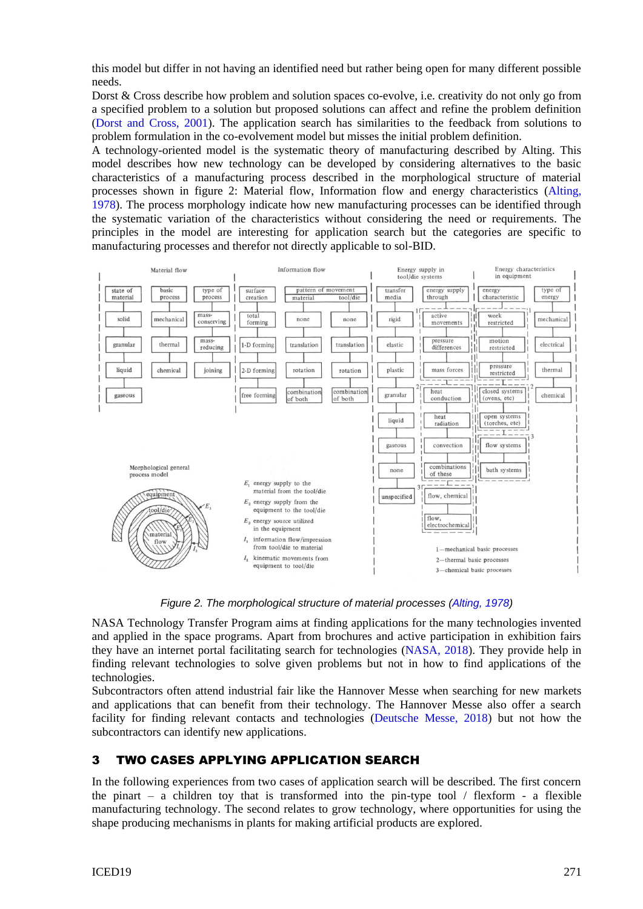this model but differ in not having an identified need but rather being open for many different possible needs.

Dorst & Cross describe how problem and solution spaces co-evolve, i.e. creativity do not only go from a specified problem to a solution but proposed solutions can affect and refine the problem definition [\(Dorst and Cross, 2001\)](#page-9-3). The application search has similarities to the feedback from solutions to problem formulation in the co-evolvement model but misses the initial problem definition.

A technology-oriented model is the systematic theory of manufacturing described by Alting. This model describes how new technology can be developed by considering alternatives to the basic characteristics of a manufacturing process described in the morphological structure of material processes shown in figure 2: Material flow, Information flow and energy characteristics [\(Alting,](#page-9-4)  [1978\)](#page-9-4). The process morphology indicate how new manufacturing processes can be identified through the systematic variation of the characteristics without considering the need or requirements. The principles in the model are interesting for application search but the categories are specific to manufacturing processes and therefor not directly applicable to sol-BID.



*Figure 2. The morphological structure of material processes [\(Alting, 1978\)](#page-9-4)*

NASA Technology Transfer Program aims at finding applications for the many technologies invented and applied in the space programs. Apart from brochures and active participation in exhibition fairs they have an internet portal facilitating search for technologies [\(NASA, 2018\)](#page-9-5). They provide help in finding relevant technologies to solve given problems but not in how to find applications of the technologies.

Subcontractors often attend industrial fair like the Hannover Messe when searching for new markets and applications that can benefit from their technology. The Hannover Messe also offer a search facility for finding relevant contacts and technologies [\(Deutsche Messe, 2018\)](#page-9-6) but not how the subcontractors can identify new applications.

# 3 TWO CASES APPLYING APPLICATION SEARCH

In the following experiences from two cases of application search will be described. The first concern the pinart – a children toy that is transformed into the pin-type tool  $\ell$  flexform - a flexible manufacturing technology. The second relates to grow technology, where opportunities for using the shape producing mechanisms in plants for making artificial products are explored.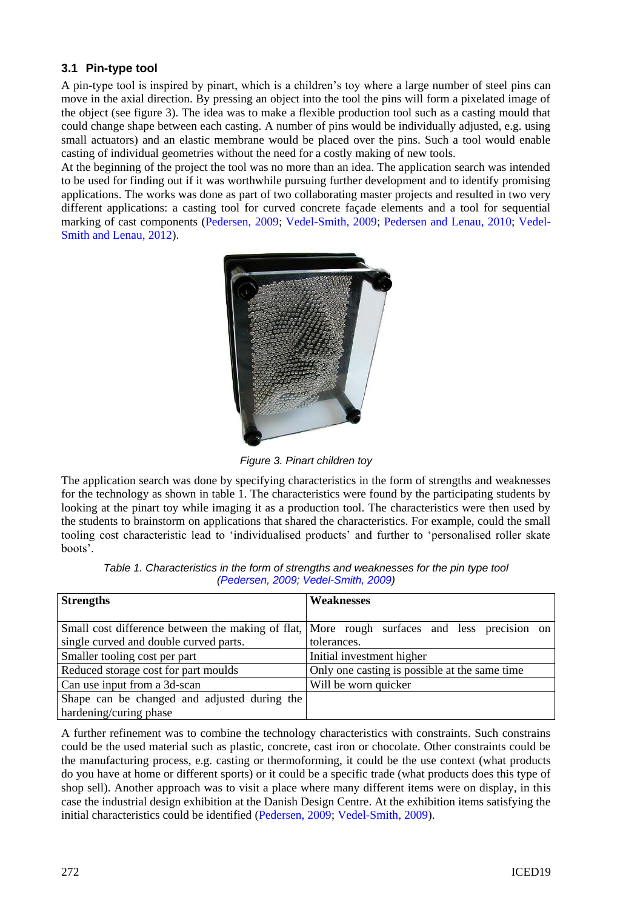### **3.1 Pin-type tool**

A pin-type tool is inspired by pinart, which is a children's toy where a large number of steel pins can move in the axial direction. By pressing an object into the tool the pins will form a pixelated image of the object (see figure 3). The idea was to make a flexible production tool such as a casting mould that could change shape between each casting. A number of pins would be individually adjusted, e.g. using small actuators) and an elastic membrane would be placed over the pins. Such a tool would enable casting of individual geometries without the need for a costly making of new tools.

At the beginning of the project the tool was no more than an idea. The application search was intended to be used for finding out if it was worthwhile pursuing further development and to identify promising applications. The works was done as part of two collaborating master projects and resulted in two very different applications: a casting tool for curved concrete façade elements and a tool for sequential marking of cast components [\(Pedersen, 2009;](#page-9-7) [Vedel-Smith, 2009;](#page-9-8) [Pedersen and Lenau, 2010;](#page-9-9) [Vedel-](#page-9-10)[Smith and Lenau, 2012\)](#page-9-10).



*Figure 3. Pinart children toy*

The application search was done by specifying characteristics in the form of strengths and weaknesses for the technology as shown in table 1. The characteristics were found by the participating students by looking at the pinart toy while imaging it as a production tool. The characteristics were then used by the students to brainstorm on applications that shared the characteristics. For example, could the small tooling cost characteristic lead to 'individualised products' and further to 'personalised roller skate boots'.

| <b>Strengths</b>                             | <b>Weaknesses</b>                                                                           |
|----------------------------------------------|---------------------------------------------------------------------------------------------|
|                                              |                                                                                             |
|                                              | Small cost difference between the making of flat, More rough surfaces and less precision on |
| single curved and double curved parts.       | tolerances.                                                                                 |
| Smaller tooling cost per part                | Initial investment higher                                                                   |
| Reduced storage cost for part moulds         | Only one casting is possible at the same time                                               |
| Can use input from a 3d-scan                 | Will be worn quicker                                                                        |
| Shape can be changed and adjusted during the |                                                                                             |
| hardening/curing phase                       |                                                                                             |

| Table 1. Characteristics in the form of strengths and weaknesses for the pin type tool |
|----------------------------------------------------------------------------------------|
| (Pedersen, 2009; Vedel-Smith, 2009)                                                    |

A further refinement was to combine the technology characteristics with constraints. Such constrains could be the used material such as plastic, concrete, cast iron or chocolate. Other constraints could be the manufacturing process, e.g. casting or thermoforming, it could be the use context (what products do you have at home or different sports) or it could be a specific trade (what products does this type of shop sell). Another approach was to visit a place where many different items were on display, in this case the industrial design exhibition at the Danish Design Centre. At the exhibition items satisfying the initial characteristics could be identified [\(Pedersen, 2009;](#page-9-7) [Vedel-Smith, 2009\)](#page-9-8).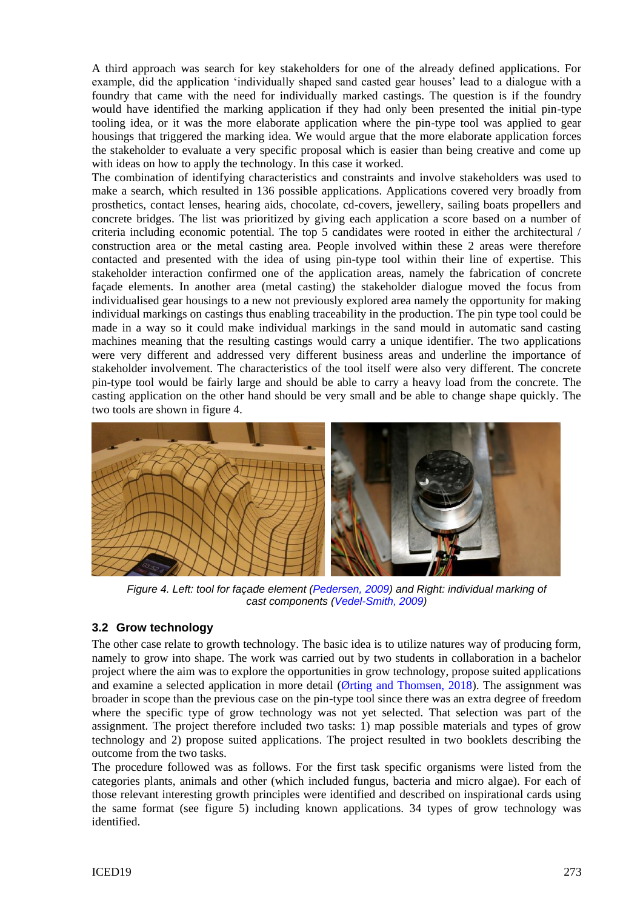A third approach was search for key stakeholders for one of the already defined applications. For example, did the application 'individually shaped sand casted gear houses' lead to a dialogue with a foundry that came with the need for individually marked castings. The question is if the foundry would have identified the marking application if they had only been presented the initial pin-type tooling idea, or it was the more elaborate application where the pin-type tool was applied to gear housings that triggered the marking idea. We would argue that the more elaborate application forces the stakeholder to evaluate a very specific proposal which is easier than being creative and come up with ideas on how to apply the technology. In this case it worked.

The combination of identifying characteristics and constraints and involve stakeholders was used to make a search, which resulted in 136 possible applications. Applications covered very broadly from prosthetics, contact lenses, hearing aids, chocolate, cd-covers, jewellery, sailing boats propellers and concrete bridges. The list was prioritized by giving each application a score based on a number of criteria including economic potential. The top 5 candidates were rooted in either the architectural / construction area or the metal casting area. People involved within these 2 areas were therefore contacted and presented with the idea of using pin-type tool within their line of expertise. This stakeholder interaction confirmed one of the application areas, namely the fabrication of concrete façade elements. In another area (metal casting) the stakeholder dialogue moved the focus from individualised gear housings to a new not previously explored area namely the opportunity for making individual markings on castings thus enabling traceability in the production. The pin type tool could be made in a way so it could make individual markings in the sand mould in automatic sand casting machines meaning that the resulting castings would carry a unique identifier. The two applications were very different and addressed very different business areas and underline the importance of stakeholder involvement. The characteristics of the tool itself were also very different. The concrete pin-type tool would be fairly large and should be able to carry a heavy load from the concrete. The casting application on the other hand should be very small and be able to change shape quickly. The two tools are shown in figure 4.



*Figure 4. Left: tool for façade element [\(Pedersen, 2009\)](#page-9-7) and Right: individual marking of cast components [\(Vedel-Smith, 2009\)](#page-9-8)*

### **3.2 Grow technology**

The other case relate to growth technology. The basic idea is to utilize natures way of producing form, namely to grow into shape. The work was carried out by two students in collaboration in a bachelor project where the aim was to explore the opportunities in grow technology, propose suited applications and examine a selected application in more detail [\(Ørting and Thomsen, 2018\)](#page-9-11). The assignment was broader in scope than the previous case on the pin-type tool since there was an extra degree of freedom where the specific type of grow technology was not yet selected. That selection was part of the assignment. The project therefore included two tasks: 1) map possible materials and types of grow technology and 2) propose suited applications. The project resulted in two booklets describing the outcome from the two tasks.

The procedure followed was as follows. For the first task specific organisms were listed from the categories plants, animals and other (which included fungus, bacteria and micro algae). For each of those relevant interesting growth principles were identified and described on inspirational cards using the same format (see figure 5) including known applications. 34 types of grow technology was identified.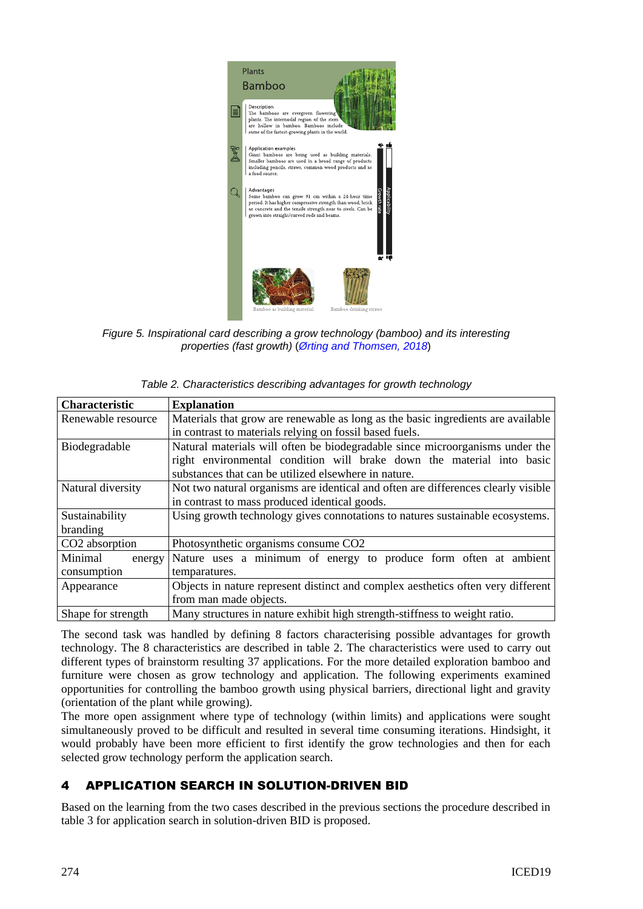

*Figure 5. Inspirational card describing a grow technology (bamboo) and its interesting properties (fast growth)* (*[Ørting and Thomsen, 2018](#page-9-11)*)

| <b>Characteristic</b>      | <b>Explanation</b>                                                                |  |  |
|----------------------------|-----------------------------------------------------------------------------------|--|--|
| Renewable resource         | Materials that grow are renewable as long as the basic ingredients are available  |  |  |
|                            | in contrast to materials relying on fossil based fuels.                           |  |  |
| Biodegradable              | Natural materials will often be biodegradable since microorganisms under the      |  |  |
|                            | right environmental condition will brake down the material into basic             |  |  |
|                            | substances that can be utilized elsewhere in nature.                              |  |  |
| Natural diversity          | Not two natural organisms are identical and often are differences clearly visible |  |  |
|                            | in contrast to mass produced identical goods.                                     |  |  |
| Sustainability             | Using growth technology gives connotations to natures sustainable ecosystems.     |  |  |
| branding                   |                                                                                   |  |  |
| CO <sub>2</sub> absorption | Photosynthetic organisms consume CO2                                              |  |  |
| Minimal<br>energy          | Nature uses a minimum of energy to produce form often at ambient                  |  |  |
| consumption                | temparatures.                                                                     |  |  |
| Appearance                 | Objects in nature represent distinct and complex aesthetics often very different  |  |  |
|                            | from man made objects.                                                            |  |  |
| Shape for strength         | Many structures in nature exhibit high strength-stiffness to weight ratio.        |  |  |

| Table 2. Characteristics describing advantages for growth technology |  |  |
|----------------------------------------------------------------------|--|--|
|                                                                      |  |  |

The second task was handled by defining 8 factors characterising possible advantages for growth technology. The 8 characteristics are described in table 2. The characteristics were used to carry out different types of brainstorm resulting 37 applications. For the more detailed exploration bamboo and furniture were chosen as grow technology and application. The following experiments examined opportunities for controlling the bamboo growth using physical barriers, directional light and gravity (orientation of the plant while growing).

The more open assignment where type of technology (within limits) and applications were sought simultaneously proved to be difficult and resulted in several time consuming iterations. Hindsight, it would probably have been more efficient to first identify the grow technologies and then for each selected grow technology perform the application search.

# 4 APPLICATION SEARCH IN SOLUTION-DRIVEN BID

Based on the learning from the two cases described in the previous sections the procedure described in table 3 for application search in solution-driven BID is proposed.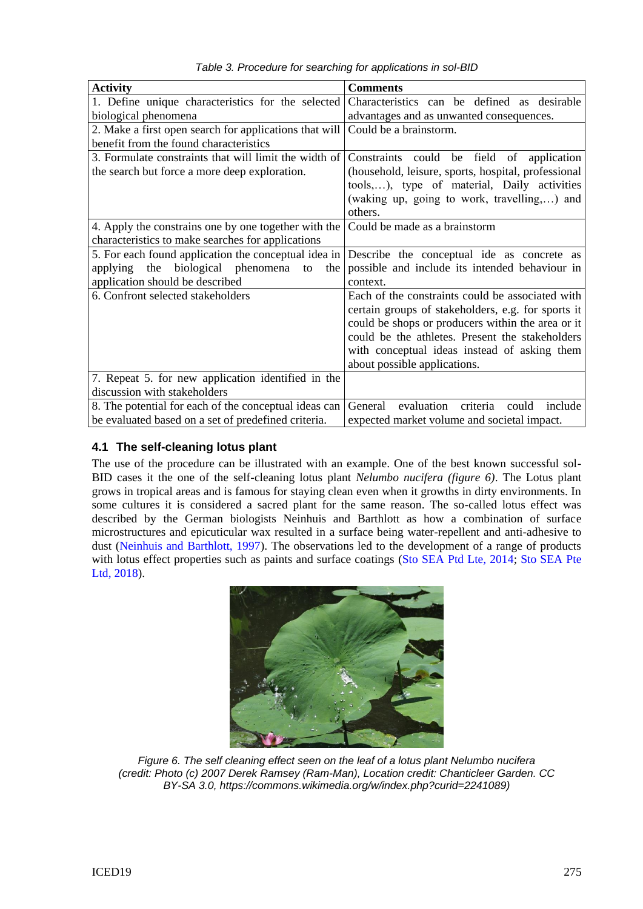| <b>Activity</b>                                        | <b>Comments</b>                                       |
|--------------------------------------------------------|-------------------------------------------------------|
| 1. Define unique characteristics for the selected      | Characteristics can be defined as desirable           |
| biological phenomena                                   | advantages and as unwanted consequences.              |
| 2. Make a first open search for applications that will | Could be a brainstorm.                                |
| benefit from the found characteristics                 |                                                       |
| 3. Formulate constraints that will limit the width of  | Constraints could be field of application             |
| the search but force a more deep exploration.          | (household, leisure, sports, hospital, professional   |
|                                                        | tools,), type of material, Daily activities           |
|                                                        | (waking up, going to work, travelling,) and           |
|                                                        | others.                                               |
| 4. Apply the constrains one by one together with the   | Could be made as a brainstorm                         |
| characteristics to make searches for applications      |                                                       |
| 5. For each found application the conceptual idea in   | Describe the conceptual ide as concrete as            |
| applying the biological phenomena<br>to<br>the         | possible and include its intended behaviour in        |
| application should be described                        | context.                                              |
| 6. Confront selected stakeholders                      | Each of the constraints could be associated with      |
|                                                        | certain groups of stakeholders, e.g. for sports it    |
|                                                        | could be shops or producers within the area or it     |
|                                                        | could be the athletes. Present the stakeholders       |
|                                                        | with conceptual ideas instead of asking them          |
|                                                        | about possible applications.                          |
| 7. Repeat 5. for new application identified in the     |                                                       |
| discussion with stakeholders                           |                                                       |
| 8. The potential for each of the conceptual ideas can  | General<br>evaluation<br>criteria<br>include<br>could |
| be evaluated based on a set of predefined criteria.    | expected market volume and societal impact.           |

*Table 3. Procedure for searching for applications in sol-BID*

### **4.1 The self-cleaning lotus plant**

The use of the procedure can be illustrated with an example. One of the best known successful sol-BID cases it the one of the self-cleaning lotus plant *Nelumbo nucifera (figure 6)*. The Lotus plant grows in tropical areas and is famous for staying clean even when it growths in dirty environments. In some cultures it is considered a sacred plant for the same reason. The so-called lotus effect was described by the German biologists Neinhuis and Barthlott as how a combination of surface microstructures and epicuticular wax resulted in a surface being water-repellent and anti-adhesive to dust [\(Neinhuis and Barthlott, 1997\)](#page-9-12). The observations led to the development of a range of products with lotus effect properties such as paints and surface coatings [\(Sto SEA Ptd Lte, 2014;](#page-9-13) Sto SEA Pte [Ltd, 2018\)](#page-9-14).



*Figure 6. The self cleaning effect seen on the leaf of a lotus plant Nelumbo nucifera (credit: Photo (c) 2007 Derek Ramsey (Ram-Man), Location credit: Chanticleer Garden. CC BY-SA 3.0, https://commons.wikimedia.org/w/index.php?curid=2241089)*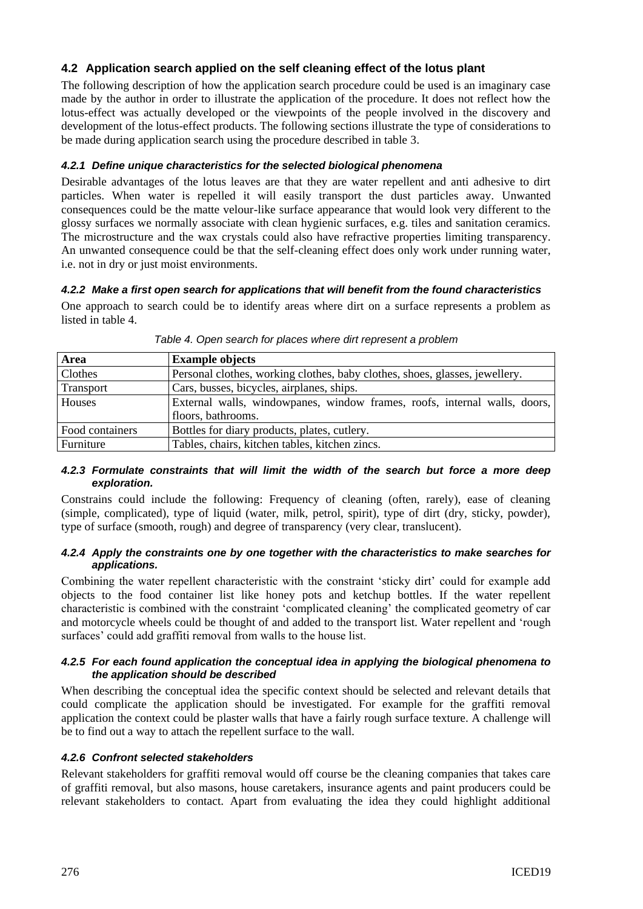### **4.2 Application search applied on the self cleaning effect of the lotus plant**

The following description of how the application search procedure could be used is an imaginary case made by the author in order to illustrate the application of the procedure. It does not reflect how the lotus-effect was actually developed or the viewpoints of the people involved in the discovery and development of the lotus-effect products. The following sections illustrate the type of considerations to be made during application search using the procedure described in table 3.

#### *4.2.1 Define unique characteristics for the selected biological phenomena*

Desirable advantages of the lotus leaves are that they are water repellent and anti adhesive to dirt particles. When water is repelled it will easily transport the dust particles away. Unwanted consequences could be the matte velour-like surface appearance that would look very different to the glossy surfaces we normally associate with clean hygienic surfaces, e.g. tiles and sanitation ceramics. The microstructure and the wax crystals could also have refractive properties limiting transparency. An unwanted consequence could be that the self-cleaning effect does only work under running water, i.e. not in dry or just moist environments.

#### *4.2.2 Make a first open search for applications that will benefit from the found characteristics*

One approach to search could be to identify areas where dirt on a surface represents a problem as listed in table 4.

| Area            | <b>Example objects</b>                                                      |
|-----------------|-----------------------------------------------------------------------------|
| Clothes         | Personal clothes, working clothes, baby clothes, shoes, glasses, jewellery. |
| Transport       | Cars, busses, bicycles, airplanes, ships.                                   |
| Houses          | External walls, windowpanes, window frames, roofs, internal walls, doors,   |
|                 | floors, bathrooms.                                                          |
| Food containers | Bottles for diary products, plates, cutlery.                                |
| Furniture       | Tables, chairs, kitchen tables, kitchen zincs.                              |

*Table 4. Open search for places where dirt represent a problem*

#### *4.2.3 Formulate constraints that will limit the width of the search but force a more deep exploration.*

Constrains could include the following: Frequency of cleaning (often, rarely), ease of cleaning (simple, complicated), type of liquid (water, milk, petrol, spirit), type of dirt (dry, sticky, powder), type of surface (smooth, rough) and degree of transparency (very clear, translucent).

#### *4.2.4 Apply the constraints one by one together with the characteristics to make searches for applications.*

Combining the water repellent characteristic with the constraint 'sticky dirt' could for example add objects to the food container list like honey pots and ketchup bottles. If the water repellent characteristic is combined with the constraint 'complicated cleaning' the complicated geometry of car and motorcycle wheels could be thought of and added to the transport list. Water repellent and 'rough surfaces' could add graffiti removal from walls to the house list.

#### *4.2.5 For each found application the conceptual idea in applying the biological phenomena to the application should be described*

When describing the conceptual idea the specific context should be selected and relevant details that could complicate the application should be investigated. For example for the graffiti removal application the context could be plaster walls that have a fairly rough surface texture. A challenge will be to find out a way to attach the repellent surface to the wall.

#### *4.2.6 Confront selected stakeholders*

Relevant stakeholders for graffiti removal would off course be the cleaning companies that takes care of graffiti removal, but also masons, house caretakers, insurance agents and paint producers could be relevant stakeholders to contact. Apart from evaluating the idea they could highlight additional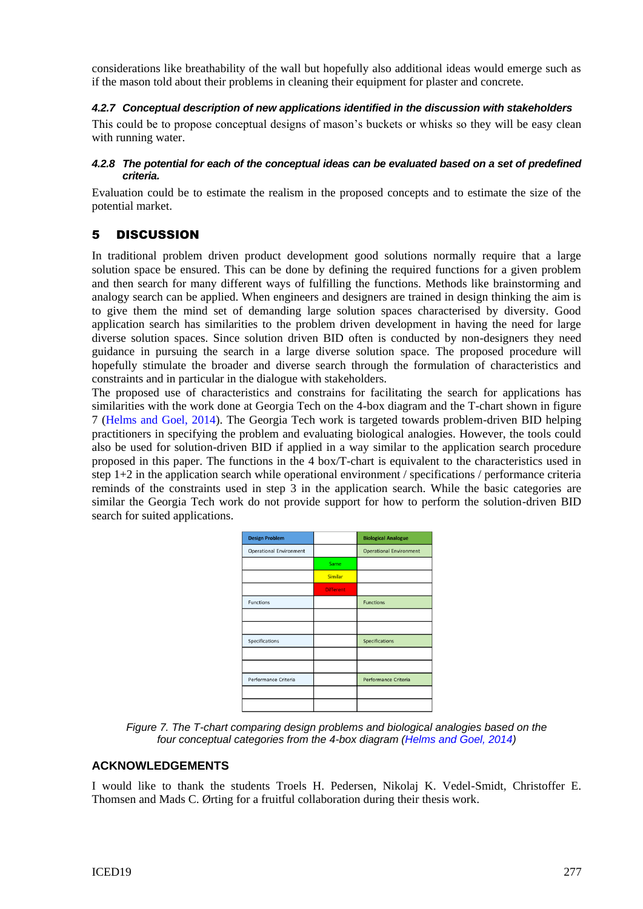considerations like breathability of the wall but hopefully also additional ideas would emerge such as if the mason told about their problems in cleaning their equipment for plaster and concrete.

#### *4.2.7 Conceptual description of new applications identified in the discussion with stakeholders*

This could be to propose conceptual designs of mason's buckets or whisks so they will be easy clean with running water.

#### *4.2.8 The potential for each of the conceptual ideas can be evaluated based on a set of predefined criteria.*

Evaluation could be to estimate the realism in the proposed concepts and to estimate the size of the potential market.

## 5 DISCUSSION

In traditional problem driven product development good solutions normally require that a large solution space be ensured. This can be done by defining the required functions for a given problem and then search for many different ways of fulfilling the functions. Methods like brainstorming and analogy search can be applied. When engineers and designers are trained in design thinking the aim is to give them the mind set of demanding large solution spaces characterised by diversity. Good application search has similarities to the problem driven development in having the need for large diverse solution spaces. Since solution driven BID often is conducted by non-designers they need guidance in pursuing the search in a large diverse solution space. The proposed procedure will hopefully stimulate the broader and diverse search through the formulation of characteristics and constraints and in particular in the dialogue with stakeholders.

The proposed use of characteristics and constrains for facilitating the search for applications has similarities with the work done at Georgia Tech on the 4-box diagram and the T-chart shown in figure 7 [\(Helms and Goel, 2014\)](#page-9-15). The Georgia Tech work is targeted towards problem-driven BID helping practitioners in specifying the problem and evaluating biological analogies. However, the tools could also be used for solution-driven BID if applied in a way similar to the application search procedure proposed in this paper. The functions in the 4 box/T-chart is equivalent to the characteristics used in step 1+2 in the application search while operational environment / specifications / performance criteria reminds of the constraints used in step 3 in the application search. While the basic categories are similar the Georgia Tech work do not provide support for how to perform the solution-driven BID search for suited applications.

| <b>Design Problem</b>          |                  | <b>Biological Analogue</b>     |
|--------------------------------|------------------|--------------------------------|
| <b>Operational Environment</b> |                  | <b>Operational Environment</b> |
|                                | Same             |                                |
|                                | <b>Similar</b>   |                                |
|                                | <b>Different</b> |                                |
| <b>Functions</b>               |                  | <b>Functions</b>               |
|                                |                  |                                |
|                                |                  |                                |
| Specifications                 |                  | <b>Specifications</b>          |
|                                |                  |                                |
|                                |                  |                                |
| Performance Criteria           |                  | Performance Criteria           |
|                                |                  |                                |
|                                |                  |                                |

*Figure 7. The T-chart comparing design problems and biological analogies based on the four conceptual categories from the 4-box diagram [\(Helms and Goel, 2014\)](#page-9-15)*

### **ACKNOWLEDGEMENTS**

I would like to thank the students Troels H. Pedersen, Nikolaj K. Vedel-Smidt, Christoffer E. Thomsen and Mads C. Ørting for a fruitful collaboration during their thesis work.